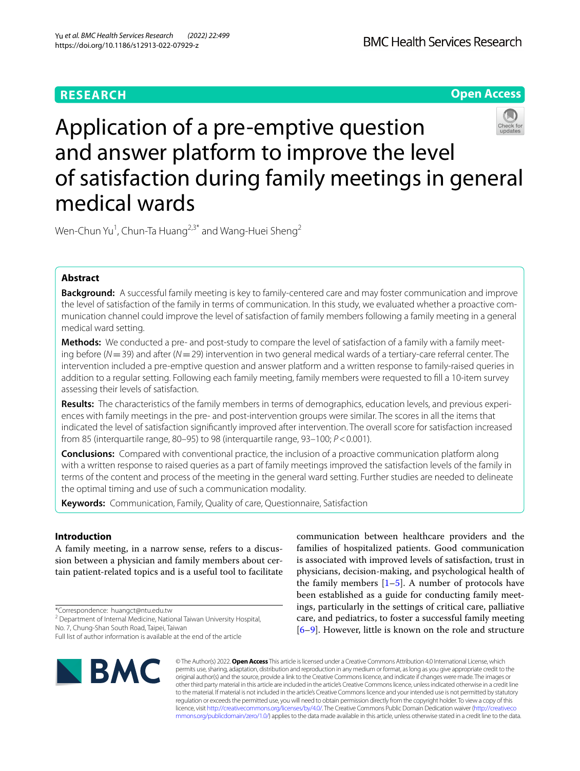# **RESEARCH**

**Open Access**

# Application of a pre-emptive question and answer platform to improve the level of satisfaction during family meetings in general medical wards

Wen-Chun Yu<sup>1</sup>, Chun-Ta Huang<sup>2,3\*</sup> and Wang-Huei Sheng<sup>2</sup>

# **Abstract**

**Background:** A successful family meeting is key to family-centered care and may foster communication and improve the level of satisfaction of the family in terms of communication. In this study, we evaluated whether a proactive communication channel could improve the level of satisfaction of family members following a family meeting in a general medical ward setting.

Methods: We conducted a pre- and post-study to compare the level of satisfaction of a family with a family meeting before (*N*=39) and after (*N*=29) intervention in two general medical wards of a tertiary-care referral center. The intervention included a pre-emptive question and answer platform and a written response to family-raised queries in addition to a regular setting. Following each family meeting, family members were requested to fll a 10-item survey assessing their levels of satisfaction.

**Results:** The characteristics of the family members in terms of demographics, education levels, and previous experi‑ ences with family meetings in the pre- and post-intervention groups were similar. The scores in all the items that indicated the level of satisfaction signifcantly improved after intervention. The overall score for satisfaction increased from 85 (interquartile range, 80–95) to 98 (interquartile range, 93–100; *P*<0.001).

**Conclusions:** Compared with conventional practice, the inclusion of a proactive communication platform along with a written response to raised queries as a part of family meetings improved the satisfaction levels of the family in terms of the content and process of the meeting in the general ward setting. Further studies are needed to delineate the optimal timing and use of such a communication modality.

**Keywords:** Communication, Family, Quality of care, Questionnaire, Satisfaction

# **Introduction**

A family meeting, in a narrow sense, refers to a discussion between a physician and family members about certain patient-related topics and is a useful tool to facilitate

\*Correspondence: huangct@ntu.edu.tw

No. 7, Chung‑Shan South Road, Taipei, Taiwan

Full list of author information is available at the end of the article



communication between healthcare providers and the families of hospitalized patients. Good communication is associated with improved levels of satisfaction, trust in physicians, decision-making, and psychological health of the family members  $[1–5]$  $[1–5]$  $[1–5]$ . A number of protocols have been established as a guide for conducting family meetings, particularly in the settings of critical care, palliative care, and pediatrics, to foster a successful family meeting [[6–](#page-5-2)[9\]](#page-5-3). However, little is known on the role and structure

© The Author(s) 2022. **Open Access** This article is licensed under a Creative Commons Attribution 4.0 International License, which permits use, sharing, adaptation, distribution and reproduction in any medium or format, as long as you give appropriate credit to the original author(s) and the source, provide a link to the Creative Commons licence, and indicate if changes were made. The images or other third party material in this article are included in the article's Creative Commons licence, unless indicated otherwise in a credit line to the material. If material is not included in the article's Creative Commons licence and your intended use is not permitted by statutory regulation or exceeds the permitted use, you will need to obtain permission directly from the copyright holder. To view a copy of this licence, visit [http://creativecommons.org/licenses/by/4.0/.](http://creativecommons.org/licenses/by/4.0/) The Creative Commons Public Domain Dedication waiver ([http://creativeco](http://creativecommons.org/publicdomain/zero/1.0/) [mmons.org/publicdomain/zero/1.0/](http://creativecommons.org/publicdomain/zero/1.0/)) applies to the data made available in this article, unless otherwise stated in a credit line to the data.

<sup>&</sup>lt;sup>2</sup> Department of Internal Medicine, National Taiwan University Hospital,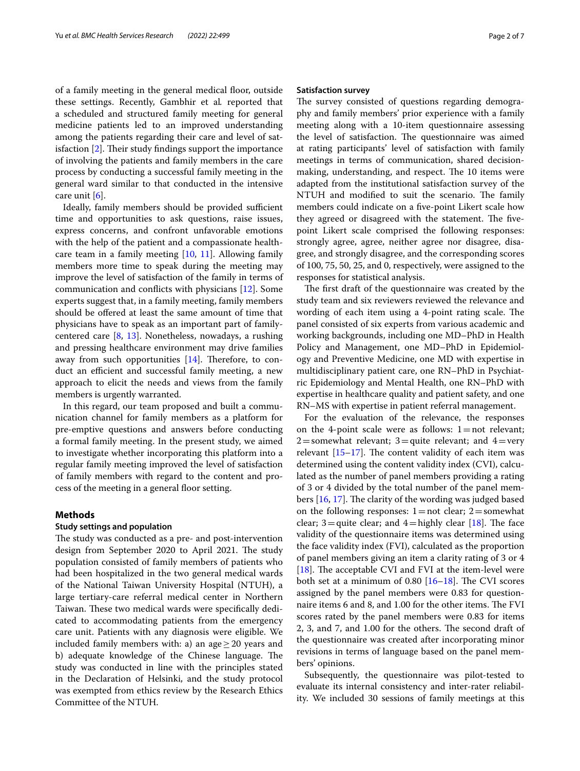of a family meeting in the general medical floor, outside these settings. Recently, Gambhir et al*.* reported that a scheduled and structured family meeting for general medicine patients led to an improved understanding among the patients regarding their care and level of satisfaction  $[2]$  $[2]$ . Their study findings support the importance of involving the patients and family members in the care process by conducting a successful family meeting in the general ward similar to that conducted in the intensive care unit [\[6](#page-5-2)].

Ideally, family members should be provided sufficient time and opportunities to ask questions, raise issues, express concerns, and confront unfavorable emotions with the help of the patient and a compassionate healthcare team in a family meeting [\[10,](#page-5-5) [11\]](#page-5-6). Allowing family members more time to speak during the meeting may improve the level of satisfaction of the family in terms of communication and conficts with physicians [\[12](#page-5-7)]. Some experts suggest that, in a family meeting, family members should be ofered at least the same amount of time that physicians have to speak as an important part of familycentered care [\[8](#page-5-8), [13](#page-5-9)]. Nonetheless, nowadays, a rushing and pressing healthcare environment may drive families away from such opportunities  $[14]$  $[14]$ . Therefore, to conduct an efficient and successful family meeting, a new approach to elicit the needs and views from the family members is urgently warranted.

In this regard, our team proposed and built a communication channel for family members as a platform for pre-emptive questions and answers before conducting a formal family meeting. In the present study, we aimed to investigate whether incorporating this platform into a regular family meeting improved the level of satisfaction of family members with regard to the content and process of the meeting in a general floor setting.

# **Methods**

# **Study settings and population**

The study was conducted as a pre- and post-intervention design from September 2020 to April 2021. The study population consisted of family members of patients who had been hospitalized in the two general medical wards of the National Taiwan University Hospital (NTUH), a large tertiary-care referral medical center in Northern Taiwan. These two medical wards were specifically dedicated to accommodating patients from the emergency care unit. Patients with any diagnosis were eligible. We included family members with: a) an age  $\geq$  20 years and b) adequate knowledge of the Chinese language. The study was conducted in line with the principles stated in the Declaration of Helsinki, and the study protocol was exempted from ethics review by the Research Ethics Committee of the NTUH.

## **Satisfaction survey**

The survey consisted of questions regarding demography and family members' prior experience with a family meeting along with a 10-item questionnaire assessing the level of satisfaction. The questionnaire was aimed at rating participants' level of satisfaction with family meetings in terms of communication, shared decisionmaking, understanding, and respect. The 10 items were adapted from the institutional satisfaction survey of the NTUH and modified to suit the scenario. The family members could indicate on a fve-point Likert scale how they agreed or disagreed with the statement. The fivepoint Likert scale comprised the following responses: strongly agree, agree, neither agree nor disagree, disagree, and strongly disagree, and the corresponding scores of 100, 75, 50, 25, and 0, respectively, were assigned to the responses for statistical analysis.

The first draft of the questionnaire was created by the study team and six reviewers reviewed the relevance and wording of each item using a 4-point rating scale. The panel consisted of six experts from various academic and working backgrounds, including one MD–PhD in Health Policy and Management, one MD–PhD in Epidemiology and Preventive Medicine, one MD with expertise in multidisciplinary patient care, one RN–PhD in Psychiatric Epidemiology and Mental Health, one RN–PhD with expertise in healthcare quality and patient safety, and one RN–MS with expertise in patient referral management.

For the evaluation of the relevance, the responses on the 4-point scale were as follows:  $1=$ not relevant; 2=somewhat relevant; 3=quite relevant; and  $4=$ very relevant  $[15-17]$  $[15-17]$  $[15-17]$ . The content validity of each item was determined using the content validity index (CVI), calculated as the number of panel members providing a rating of 3 or 4 divided by the total number of the panel members  $[16, 17]$  $[16, 17]$  $[16, 17]$  $[16, 17]$ . The clarity of the wording was judged based on the following responses:  $1=$  not clear;  $2=$  somewhat clear; 3=quite clear; and 4=highly clear  $[18]$  $[18]$ . The face validity of the questionnaire items was determined using the face validity index (FVI), calculated as the proportion of panel members giving an item a clarity rating of 3 or 4 [[18\]](#page-5-14). The acceptable CVI and FVI at the item-level were both set at a minimum of  $0.80$  [[16](#page-5-13)[–18](#page-5-14)]. The CVI scores assigned by the panel members were 0.83 for questionnaire items 6 and 8, and 1.00 for the other items. The FVI scores rated by the panel members were 0.83 for items 2, 3, and 7, and 1.00 for the others. The second draft of the questionnaire was created after incorporating minor revisions in terms of language based on the panel members' opinions.

Subsequently, the questionnaire was pilot-tested to evaluate its internal consistency and inter-rater reliability. We included 30 sessions of family meetings at this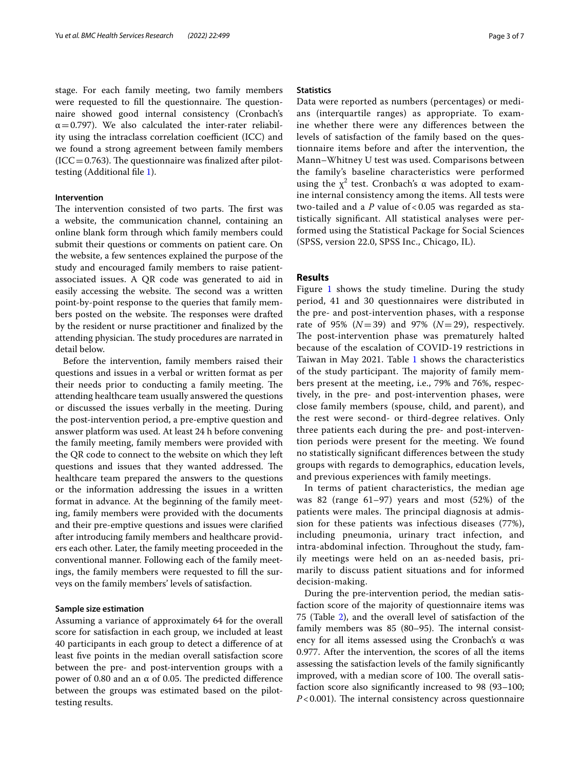stage. For each family meeting, two family members were requested to fill the questionnaire. The questionnaire showed good internal consistency (Cronbach's  $\alpha$  = 0.797). We also calculated the inter-rater reliability using the intraclass correlation coefficient (ICC) and we found a strong agreement between family members  $(ICC=0.763)$ . The questionnaire was finalized after pilottesting (Additional fle [1](#page-5-15)).

# **Intervention**

The intervention consisted of two parts. The first was a website, the communication channel, containing an online blank form through which family members could submit their questions or comments on patient care. On the website, a few sentences explained the purpose of the study and encouraged family members to raise patientassociated issues. A QR code was generated to aid in easily accessing the website. The second was a written point-by-point response to the queries that family members posted on the website. The responses were drafted by the resident or nurse practitioner and fnalized by the attending physician. The study procedures are narrated in detail below.

Before the intervention, family members raised their questions and issues in a verbal or written format as per their needs prior to conducting a family meeting. The attending healthcare team usually answered the questions or discussed the issues verbally in the meeting. During the post-intervention period, a pre-emptive question and answer platform was used. At least 24 h before convening the family meeting, family members were provided with the QR code to connect to the website on which they left questions and issues that they wanted addressed. The healthcare team prepared the answers to the questions or the information addressing the issues in a written format in advance. At the beginning of the family meeting, family members were provided with the documents and their pre-emptive questions and issues were clarifed after introducing family members and healthcare providers each other. Later, the family meeting proceeded in the conventional manner. Following each of the family meetings, the family members were requested to fll the surveys on the family members' levels of satisfaction.

## **Sample size estimation**

Assuming a variance of approximately 64 for the overall score for satisfaction in each group, we included at least 40 participants in each group to detect a diference of at least fve points in the median overall satisfaction score between the pre- and post-intervention groups with a power of 0.80 and an  $α$  of 0.05. The predicted difference between the groups was estimated based on the pilottesting results.

## **Statistics**

Data were reported as numbers (percentages) or medians (interquartile ranges) as appropriate. To examine whether there were any diferences between the levels of satisfaction of the family based on the questionnaire items before and after the intervention, the Mann–Whitney U test was used. Comparisons between the family's baseline characteristics were performed using the  $\chi^2$  test. Cronbach's  $\alpha$  was adopted to examine internal consistency among the items. All tests were two-tailed and a *P* value of < 0.05 was regarded as statistically signifcant. All statistical analyses were performed using the Statistical Package for Social Sciences (SPSS, version 22.0, SPSS Inc., Chicago, IL).

# **Results**

Figure [1](#page-3-0) shows the study timeline. During the study period, 41 and 30 questionnaires were distributed in the pre- and post-intervention phases, with a response rate of 95% (*N*=39) and 97% (*N*=29), respectively. The post-intervention phase was prematurely halted because of the escalation of COVID-19 restrictions in Taiwan in May 2021. Table [1](#page-3-1) shows the characteristics of the study participant. The majority of family members present at the meeting, i.e., 79% and 76%, respectively, in the pre- and post-intervention phases, were close family members (spouse, child, and parent), and the rest were second- or third-degree relatives. Only three patients each during the pre- and post-intervention periods were present for the meeting. We found no statistically signifcant diferences between the study groups with regards to demographics, education levels, and previous experiences with family meetings.

In terms of patient characteristics, the median age was 82 (range 61–97) years and most (52%) of the patients were males. The principal diagnosis at admission for these patients was infectious diseases (77%), including pneumonia, urinary tract infection, and intra-abdominal infection. Throughout the study, family meetings were held on an as-needed basis, primarily to discuss patient situations and for informed decision-making.

During the pre-intervention period, the median satisfaction score of the majority of questionnaire items was 75 (Table [2\)](#page-4-0), and the overall level of satisfaction of the family members was  $85$  ( $80-95$ ). The internal consistency for all items assessed using the Cronbach's  $\alpha$  was 0.977. After the intervention, the scores of all the items assessing the satisfaction levels of the family signifcantly improved, with a median score of 100. The overall satisfaction score also signifcantly increased to 98 (93–100;  $P < 0.001$ ). The internal consistency across questionnaire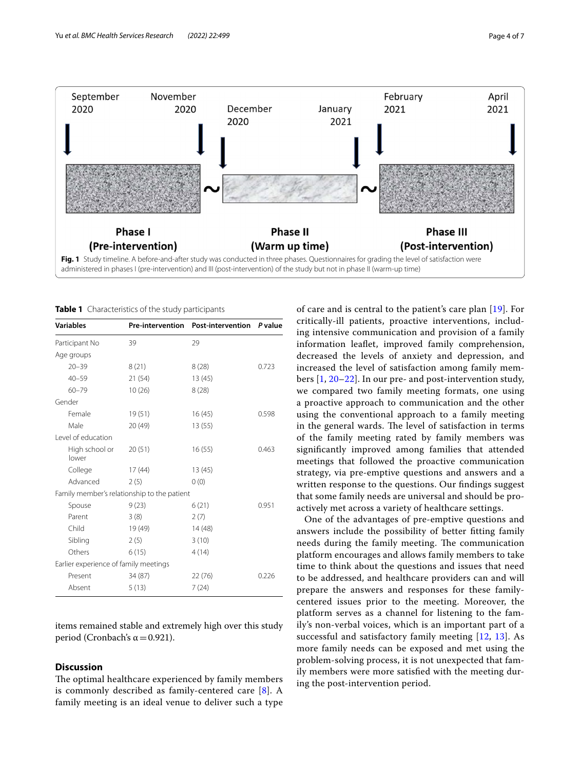

<span id="page-3-1"></span><span id="page-3-0"></span>**Table 1** Characteristics of the study participants

| Variables                             |                                             | Pre-intervention Post-intervention P value |       |
|---------------------------------------|---------------------------------------------|--------------------------------------------|-------|
| Participant No                        | 39                                          | 29                                         |       |
| Age groups                            |                                             |                                            |       |
| $20 - 39$                             | 8(21)                                       | 8(28)                                      | 0.723 |
| $40 - 59$                             | 21(54)                                      | 13(45)                                     |       |
| $60 - 79$                             | 10(26)                                      | 8(28)                                      |       |
| Gender                                |                                             |                                            |       |
| Female                                | 19(51)                                      | 16(45)                                     | 0.598 |
| Male                                  | 20(49)                                      | 13(55)                                     |       |
| Level of education                    |                                             |                                            |       |
| High school or<br>lower               | 20(51)                                      | 16(55)                                     | 0.463 |
| College                               | 17(44)                                      | 13(45)                                     |       |
| Advanced                              | 2(5)                                        | 0(0)                                       |       |
|                                       | Family member's relationship to the patient |                                            |       |
| Spouse                                | 9(23)                                       | 6(21)                                      | 0.951 |
| Parent                                | 3(8)                                        | 2(7)                                       |       |
| Child                                 | 19 (49)                                     | 14 (48)                                    |       |
| Sibling                               | 2(5)                                        | 3(10)                                      |       |
| Others                                | 6(15)                                       | 4(14)                                      |       |
| Earlier experience of family meetings |                                             |                                            |       |
| Present                               | 34 (87)                                     | 22(76)                                     | 0.226 |
| Absent                                | 5(13)                                       | 7(24)                                      |       |
|                                       |                                             |                                            |       |

items remained stable and extremely high over this study period (Cronbach's  $\alpha$  = 0.921).

# **Discussion**

The optimal healthcare experienced by family members is commonly described as family-centered care [[8\]](#page-5-8). A family meeting is an ideal venue to deliver such a type of care and is central to the patient's care plan [[19](#page-5-16)]. For critically-ill patients, proactive interventions, including intensive communication and provision of a family information leafet, improved family comprehension, decreased the levels of anxiety and depression, and increased the level of satisfaction among family members [\[1](#page-5-0), [20–](#page-5-17)[22](#page-6-0)]. In our pre- and post-intervention study, we compared two family meeting formats, one using a proactive approach to communication and the other using the conventional approach to a family meeting in the general wards. The level of satisfaction in terms of the family meeting rated by family members was signifcantly improved among families that attended meetings that followed the proactive communication strategy, via pre-emptive questions and answers and a written response to the questions. Our fndings suggest that some family needs are universal and should be proactively met across a variety of healthcare settings.

One of the advantages of pre-emptive questions and answers include the possibility of better ftting family needs during the family meeting. The communication platform encourages and allows family members to take time to think about the questions and issues that need to be addressed, and healthcare providers can and will prepare the answers and responses for these familycentered issues prior to the meeting. Moreover, the platform serves as a channel for listening to the family's non-verbal voices, which is an important part of a successful and satisfactory family meeting [\[12](#page-5-7), [13](#page-5-9)]. As more family needs can be exposed and met using the problem-solving process, it is not unexpected that family members were more satisfed with the meeting during the post-intervention period.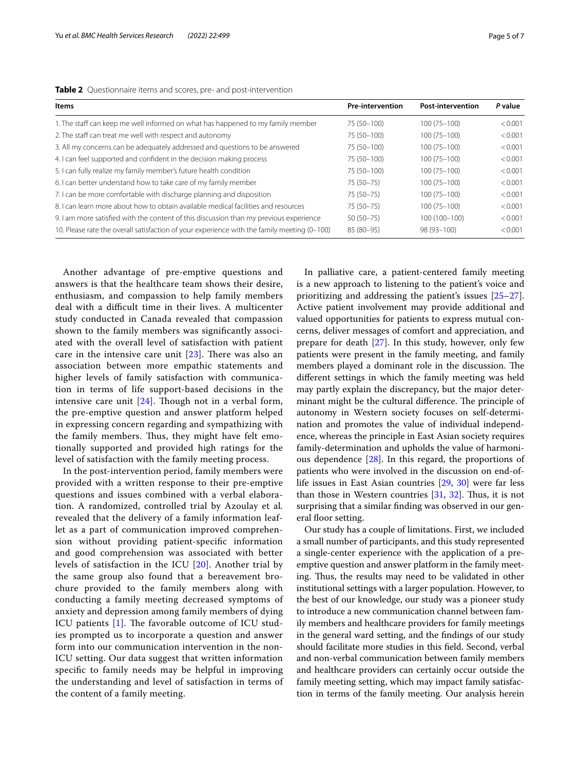| Items                                                                                       | <b>Pre-intervention</b> | <b>Post-intervention</b> | P value |
|---------------------------------------------------------------------------------------------|-------------------------|--------------------------|---------|
| 1. The staff can keep me well informed on what has happened to my family member             | 75 (50-100)             | $100(75 - 100)$          | < 0.001 |
| 2. The staff can treat me well with respect and autonomy                                    | 75 (50-100)             | $100(75 - 100)$          | < 0.001 |
| 3. All my concerns can be adequately addressed and questions to be answered                 | 75 (50-100)             | $100(75 - 100)$          | < 0.001 |
| 4. I can feel supported and confident in the decision making process                        | 75 (50-100)             | $100(75 - 100)$          | < 0.001 |
| 5. I can fully realize my family member's future health condition                           | 75 (50-100)             | $100(75 - 100)$          | < 0.001 |
| 6. I can better understand how to take care of my family member                             | 75 (50-75)              | $100(75 - 100)$          | < 0.001 |
| 7. I can be more comfortable with discharge planning and disposition                        | 75 (50-75)              | $100(75 - 100)$          | < 0.001 |
| 8. I can learn more about how to obtain available medical facilities and resources          | 75 (50-75)              | $100(75 - 100)$          | < 0.001 |
| 9. I am more satisfied with the content of this discussion than my previous experience      | $50(50 - 75)$           | 100 (100-100)            | < 0.001 |
| 10. Please rate the overall satisfaction of your experience with the family meeting (0-100) | 85 (80-95)              | 98 (93-100)              | < 0.001 |

<span id="page-4-0"></span>

Another advantage of pre-emptive questions and answers is that the healthcare team shows their desire, enthusiasm, and compassion to help family members deal with a difficult time in their lives. A multicenter study conducted in Canada revealed that compassion shown to the family members was signifcantly associated with the overall level of satisfaction with patient care in the intensive care unit  $[23]$  $[23]$ . There was also an association between more empathic statements and higher levels of family satisfaction with communication in terms of life support-based decisions in the intensive care unit  $[24]$  $[24]$  $[24]$ . Though not in a verbal form, the pre-emptive question and answer platform helped in expressing concern regarding and sympathizing with the family members. Thus, they might have felt emotionally supported and provided high ratings for the level of satisfaction with the family meeting process.

In the post-intervention period, family members were provided with a written response to their pre-emptive questions and issues combined with a verbal elaboration. A randomized, controlled trial by Azoulay et al*.* revealed that the delivery of a family information leaflet as a part of communication improved comprehension without providing patient-specifc information and good comprehension was associated with better levels of satisfaction in the ICU [\[20](#page-5-17)]. Another trial by the same group also found that a bereavement brochure provided to the family members along with conducting a family meeting decreased symptoms of anxiety and depression among family members of dying ICU patients  $[1]$  $[1]$ . The favorable outcome of ICU studies prompted us to incorporate a question and answer form into our communication intervention in the non-ICU setting. Our data suggest that written information specifc to family needs may be helpful in improving the understanding and level of satisfaction in terms of the content of a family meeting.

In palliative care, a patient-centered family meeting is a new approach to listening to the patient's voice and prioritizing and addressing the patient's issues [[25](#page-6-3)[–27](#page-6-4)]. Active patient involvement may provide additional and valued opportunities for patients to express mutual concerns, deliver messages of comfort and appreciation, and prepare for death [[27\]](#page-6-4). In this study, however, only few patients were present in the family meeting, and family members played a dominant role in the discussion. The diferent settings in which the family meeting was held may partly explain the discrepancy, but the major determinant might be the cultural difference. The principle of autonomy in Western society focuses on self-determination and promotes the value of individual independence, whereas the principle in East Asian society requires family-determination and upholds the value of harmonious dependence [[28\]](#page-6-5). In this regard, the proportions of patients who were involved in the discussion on end-oflife issues in East Asian countries [\[29](#page-6-6), [30\]](#page-6-7) were far less than those in Western countries  $[31, 32]$  $[31, 32]$  $[31, 32]$  $[31, 32]$  $[31, 32]$ . Thus, it is not surprising that a similar fnding was observed in our general floor setting.

Our study has a couple of limitations. First, we included a small number of participants, and this study represented a single-center experience with the application of a preemptive question and answer platform in the family meeting. Thus, the results may need to be validated in other institutional settings with a larger population. However, to the best of our knowledge, our study was a pioneer study to introduce a new communication channel between family members and healthcare providers for family meetings in the general ward setting, and the fndings of our study should facilitate more studies in this feld. Second, verbal and non-verbal communication between family members and healthcare providers can certainly occur outside the family meeting setting, which may impact family satisfaction in terms of the family meeting. Our analysis herein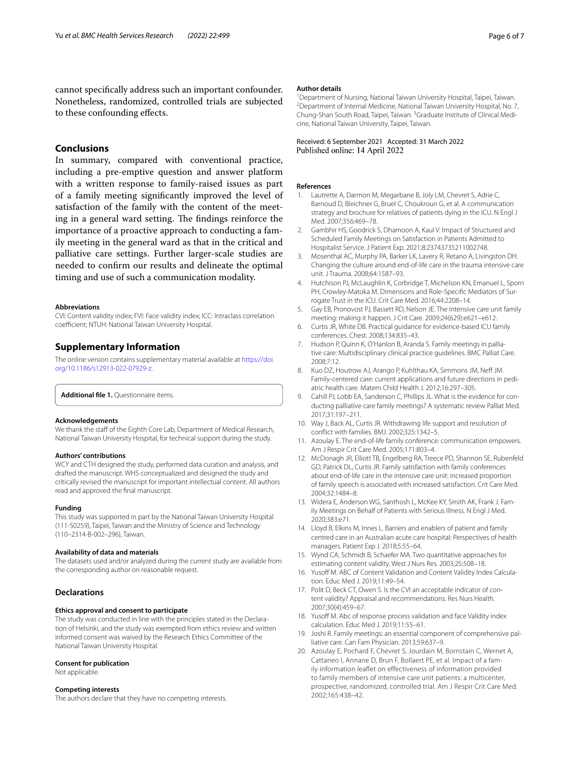# **Conclusions**

In summary, compared with conventional practice, including a pre-emptive question and answer platform with a written response to family-raised issues as part of a family meeting signifcantly improved the level of satisfaction of the family with the content of the meeting in a general ward setting. The findings reinforce the importance of a proactive approach to conducting a family meeting in the general ward as that in the critical and palliative care settings. Further larger-scale studies are needed to confrm our results and delineate the optimal timing and use of such a communication modality.

#### **Abbreviations**

CVI: Content validity index; FVI: Face validity index; ICC: Intraclass correlation coefficient; NTUH: National Taiwan University Hospital.

# **Supplementary Information**

The online version contains supplementary material available at [https://doi.](https://doi.org/10.1186/s12913-022-07929-z) [org/10.1186/s12913-022-07929-z.](https://doi.org/10.1186/s12913-022-07929-z)

<span id="page-5-15"></span>**Additional fle 1.** Questionnaire items.

#### **Acknowledgements**

We thank the staff of the Eighth Core Lab, Department of Medical Research, National Taiwan University Hospital, for technical support during the study.

## **Authors' contributions**

WCY and CTH designed the study, performed data curation and analysis, and drafted the manuscript. WHS conceptualized and designed the study and critically revised the manuscript for important intellectual content. All authors read and approved the fnal manuscript.

#### **Funding**

This study was supported in part by the National Taiwan University Hospital (111-S0259), Taipei, Taiwan and the Ministry of Science and Technology (110–2314-B-002–296), Taiwan.

#### **Availability of data and materials**

The datasets used and/or analyzed during the current study are available from the corresponding author on reasonable request.

#### **Declarations**

#### **Ethics approval and consent to participate**

The study was conducted in line with the principles stated in the Declaration of Helsinki, and the study was exempted from ethics review and written informed consent was waived by the Research Ethics Committee of the National Taiwan University Hospital.

# **Consent for publication**

Not applicable.

#### **Competing interests**

The authors declare that they have no competing interests.

#### **Author details**

<sup>1</sup> Department of Nursing, National Taiwan University Hospital, Taipei, Taiwan.<br><sup>2</sup> Department of Internal Medicine, National Taiwan University Hospital, No. 7 <sup>2</sup> Department of Internal Medicine, National Taiwan University Hospital, No. 7, Chung-Shan South Road, Taipei, Taiwan. <sup>3</sup> Graduate Institute of Clinical Medicine, National Taiwan University, Taipei, Taiwan.

## Received: 6 September 2021 Accepted: 31 March 2022 Published online: 14 April 2022

#### **References**

- <span id="page-5-0"></span>Lautrette A, Darmon M, Megarbane B, Joly LM, Chevret S, Adrie C, Barnoud D, Bleichner G, Bruel C, Choukroun G, et al. A communication strategy and brochure for relatives of patients dying in the ICU. N Engl J Med. 2007;356:469–78.
- <span id="page-5-4"></span>2. Gambhir HS, Goodrick S, Dhamoon A, Kaul V. Impact of Structured and Scheduled Family Meetings on Satisfaction in Patients Admitted to Hospitalist Service. J Patient Exp. 2021;8:23743735211002748.
- 3. Mosenthal AC, Murphy PA, Barker LK, Lavery R, Retano A, Livingston DH. Changing the culture around end-of-life care in the trauma intensive care unit. J Trauma. 2008;64:1587–93.
- 4. Hutchison PJ, McLaughlin K, Corbridge T, Michelson KN, Emanuel L, Sporn PH, Crowley-Matoka M. Dimensions and Role-Specific Mediators of Surrogate Trust in the ICU. Crit Care Med. 2016;44:2208–14.
- <span id="page-5-1"></span>5. Gay EB, Pronovost PJ, Bassett RD, Nelson JE. The intensive care unit family meeting: making it happen. J Crit Care. 2009;24(629):e621–e612.
- <span id="page-5-2"></span>6. Curtis JR, White DB. Practical guidance for evidence-based ICU family conferences. Chest. 2008;134:835–43.
- 7. Hudson P, Quinn K, O'Hanlon B, Aranda S. Family meetings in palliative care: Multidisciplinary clinical practice guidelines. BMC Palliat Care. 2008;7:12.
- <span id="page-5-8"></span>8. Kuo DZ, Houtrow AJ, Arango P, Kuhlthau KA, Simmons JM, Neff JM. Family-centered care: current applications and future directions in pediatric health care. Matern Child Health J. 2012;16:297–305.
- <span id="page-5-3"></span>9. Cahill PJ, Lobb EA, Sanderson C, Phillips JL. What is the evidence for conducting palliative care family meetings? A systematic review Palliat Med. 2017;31:197–211.
- <span id="page-5-5"></span>10. Way J, Back AL, Curtis JR. Withdrawing life support and resolution of confict with families. BMJ. 2002;325:1342–5.
- <span id="page-5-6"></span>11. Azoulay E. The end-of-life family conference: communication empowers. Am J Respir Crit Care Med. 2005;171:803–4.
- <span id="page-5-7"></span>12. McDonagh JR, Elliott TB, Engelberg RA, Treece PD, Shannon SE, Rubenfeld GD, Patrick DL, Curtis JR. Family satisfaction with family conferences about end-of-life care in the intensive care unit: increased proportion of family speech is associated with increased satisfaction. Crit Care Med. 2004;32:1484–8.
- <span id="page-5-9"></span>13. Widera E, Anderson WG, Santhosh L, McKee KY, Smith AK, Frank J. Family Meetings on Behalf of Patients with Serious Illness. N Engl J Med. 2020;383:e71.
- <span id="page-5-10"></span>14. Lloyd B, Elkins M, Innes L. Barriers and enablers of patient and family centred care in an Australian acute care hospital: Perspectives of health managers. Patient Exp J. 2018;5:55–64.
- <span id="page-5-11"></span>15. Wynd CA, Schmidt B, Schaefer MA. Two quantitative approaches for estimating content validity. West J Nurs Res. 2003;25:508–18.
- <span id="page-5-13"></span>16. Yusoff M. ABC of Content Validation and Content Validity Index Calculation. Educ Med J. 2019;11:49–54.
- <span id="page-5-12"></span>17. Polit D, Beck CT, Owen S. Is the CVI an acceptable indicator of content validity? Appraisal and recommendations. Res Nurs Health. 2007;30(4):459–67.
- <span id="page-5-14"></span>18. Yusoff M. Abc of response process validation and face Validity index calculation. Educ Med J. 2019;11:55–61.
- <span id="page-5-16"></span>19. Joshi R. Family meetings: an essential component of comprehensive palliative care. Can Fam Physician. 2013;59:637–9.
- <span id="page-5-17"></span>20. Azoulay E, Pochard F, Chevret S, Jourdain M, Bornstain C, Wernet A, Cattaneo I, Annane D, Brun F, Bollaert PE, et al. Impact of a family information leaflet on effectiveness of information provided to family members of intensive care unit patients: a multicenter, prospective, randomized, controlled trial. Am J Respir Crit Care Med. 2002;165:438–42.